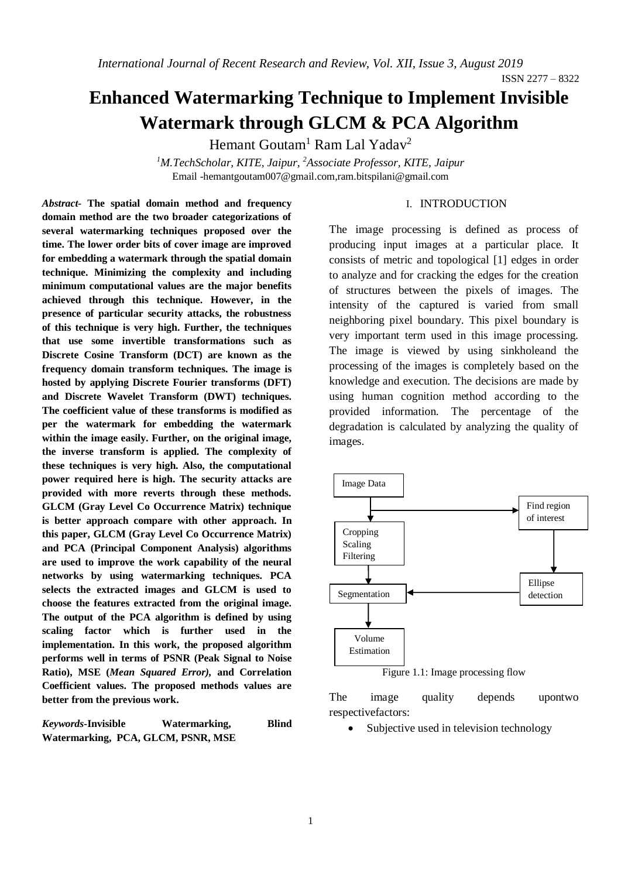ISSN 2277 – 8322

# **Enhanced Watermarking Technique to Implement Invisible Watermark through GLCM & PCA Algorithm**

Hemant Goutam<sup>1</sup> Ram Lal Yadav<sup>2</sup>

*<sup>1</sup>M.TechScholar, KITE, Jaipur, <sup>2</sup>Associate Professor, KITE, Jaipur* Email -hemantgoutam007@gmail.com,ram.bitspilani@gmail.com

#### I. INTRODUCTION

*Abstract-* **The spatial domain method and frequency domain method are the two broader categorizations of several watermarking techniques proposed over the time. The lower order bits of cover image are improved for embedding a watermark through the spatial domain technique. Minimizing the complexity and including minimum computational values are the major benefits achieved through this technique. However, in the presence of particular security attacks, the robustness of this technique is very high. Further, the techniques that use some invertible transformations such as Discrete Cosine Transform (DCT) are known as the frequency domain transform techniques. The image is hosted by applying Discrete Fourier transforms (DFT) and Discrete Wavelet Transform (DWT) techniques. The coefficient value of these transforms is modified as per the watermark for embedding the watermark within the image easily. Further, on the original image, the inverse transform is applied. The complexity of these techniques is very high. Also, the computational power required here is high. The security attacks are provided with more reverts through these methods. GLCM (Gray Level Co Occurrence Matrix) technique is better approach compare with other approach. In this paper, GLCM (Gray Level Co Occurrence Matrix) and PCA (Principal Component Analysis) algorithms are used to improve the work capability of the neural networks by using watermarking techniques. PCA selects the extracted images and GLCM is used to choose the features extracted from the original image. The output of the PCA algorithm is defined by using scaling factor which is further used in the implementation. In this work, the proposed algorithm performs well in terms of PSNR (Peak Signal to Noise Ratio), MSE (***Mean Squared Error),* **and Correlation Coefficient values. The proposed methods values are better from the previous work.**

*Keywords-***Invisible Watermarking, Blind Watermarking, PCA, GLCM, PSNR, MSE**

The image processing is defined as process of producing input images at a particular place. It consists of metric and topological [1] edges in order to analyze and for cracking the edges for the creation of structures between the pixels of images. The intensity of the captured is varied from small neighboring pixel boundary. This pixel boundary is very important term used in this image processing. The image is viewed by using sinkholeand the processing of the images is completely based on the knowledge and execution. The decisions are made by using human cognition method according to the provided information. The percentage of the degradation is calculated by analyzing the quality of images.



The image quality depends upontwo respectivefactors:

Subjective used in television technology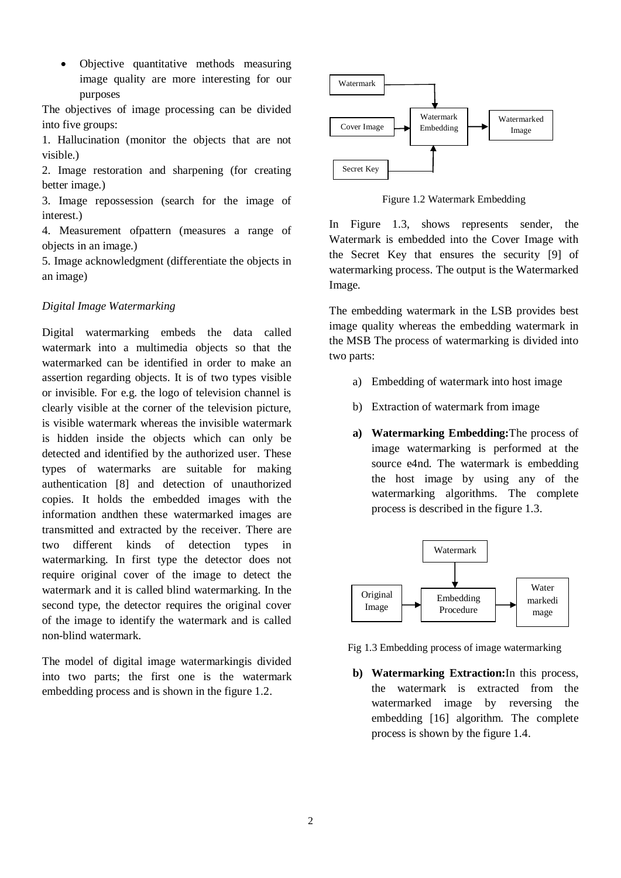Objective quantitative methods measuring image quality are more interesting for our purposes

The objectives of image processing can be divided into five groups:

1. Hallucination (monitor the objects that are not visible.)

2. Image restoration and sharpening (for creating better image.)

3. Image repossession (search for the image of interest.)

4. Measurement ofpattern (measures a range of objects in an image.)

5. Image acknowledgment (differentiate the objects in an image)

# *Digital Image Watermarking*

Digital watermarking embeds the data called watermark into a multimedia objects so that the watermarked can be identified in order to make an assertion regarding objects. It is of two types visible or invisible. For e.g. the logo of television channel is clearly visible at the corner of the television picture, is visible watermark whereas the invisible watermark is hidden inside the objects which can only be detected and identified by the authorized user. These types of watermarks are suitable for making authentication [8] and detection of unauthorized copies. It holds the embedded images with the information andthen these watermarked images are transmitted and extracted by the receiver. There are two different kinds of detection types in watermarking. In first type the detector does not require original cover of the image to detect the watermark and it is called blind watermarking. In the second type, the detector requires the original cover of the image to identify the watermark and is called non-blind watermark.

The model of digital image watermarkingis divided into two parts; the first one is the watermark embedding process and is shown in the figure 1.2.



Figure 1.2 Watermark Embedding

In Figure 1.3, shows represents sender, the Watermark is embedded into the Cover Image with the Secret Key that ensures the security [9] of watermarking process. The output is the Watermarked Image.

The embedding watermark in the LSB provides best image quality whereas the embedding watermark in the MSB The process of watermarking is divided into two parts:

- a) Embedding of watermark into host image
- b) Extraction of watermark from image
- **a) Watermarking Embedding:**The process of image watermarking is performed at the source e4nd. The watermark is embedding the host image by using any of the watermarking algorithms. The complete process is described in the figure 1.3.



Fig 1.3 Embedding process of image watermarking

**b) Watermarking Extraction:**In this process, the watermark is extracted from the watermarked image by reversing the embedding [16] algorithm. The complete process is shown by the figure 1.4.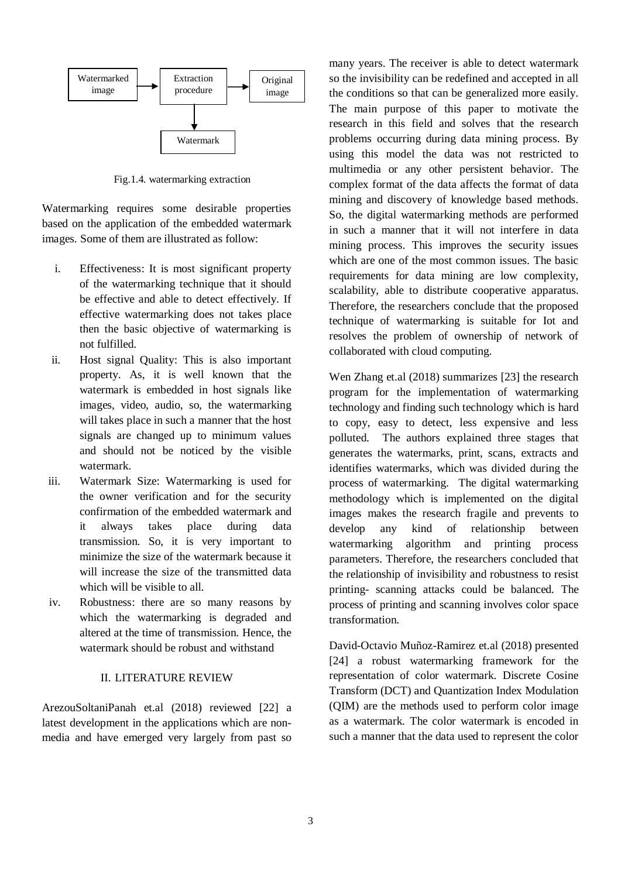

Fig.1.4. watermarking extraction

Watermarking requires some desirable properties based on the application of the embedded watermark images. Some of them are illustrated as follow:

- i. Effectiveness: It is most significant property of the watermarking technique that it should be effective and able to detect effectively. If effective watermarking does not takes place then the basic objective of watermarking is not fulfilled.
- ii. Host signal Quality: This is also important property. As, it is well known that the watermark is embedded in host signals like images, video, audio, so, the watermarking will takes place in such a manner that the host signals are changed up to minimum values and should not be noticed by the visible watermark.
- iii. Watermark Size: Watermarking is used for the owner verification and for the security confirmation of the embedded watermark and it always takes place during data transmission. So, it is very important to minimize the size of the watermark because it will increase the size of the transmitted data which will be visible to all.
- iv. Robustness: there are so many reasons by which the watermarking is degraded and altered at the time of transmission. Hence, the watermark should be robust and withstand

#### II. LITERATURE REVIEW

ArezouSoltaniPanah et.al (2018) reviewed [22] a latest development in the applications which are nonmedia and have emerged very largely from past so many years. The receiver is able to detect watermark so the invisibility can be redefined and accepted in all the conditions so that can be generalized more easily. The main purpose of this paper to motivate the research in this field and solves that the research problems occurring during data mining process. By using this model the data was not restricted to multimedia or any other persistent behavior. The complex format of the data affects the format of data mining and discovery of knowledge based methods. So, the digital watermarking methods are performed in such a manner that it will not interfere in data mining process. This improves the security issues which are one of the most common issues. The basic requirements for data mining are low complexity, scalability, able to distribute cooperative apparatus. Therefore, the researchers conclude that the proposed technique of watermarking is suitable for Iot and resolves the problem of ownership of network of collaborated with cloud computing.

Wen Zhang et.al (2018) summarizes [23] the research program for the implementation of watermarking technology and finding such technology which is hard to copy, easy to detect, less expensive and less polluted. The authors explained three stages that generates the watermarks, print, scans, extracts and identifies watermarks, which was divided during the process of watermarking. The digital watermarking methodology which is implemented on the digital images makes the research fragile and prevents to develop any kind of relationship between watermarking algorithm and printing process parameters. Therefore, the researchers concluded that the relationship of invisibility and robustness to resist printing- scanning attacks could be balanced. The process of printing and scanning involves color space transformation.

David-Octavio Muñoz-Ramirez et.al (2018) presented [24] a robust watermarking framework for the representation of color watermark. Discrete Cosine Transform (DCT) and Quantization Index Modulation (QIM) are the methods used to perform color image as a watermark. The color watermark is encoded in such a manner that the data used to represent the color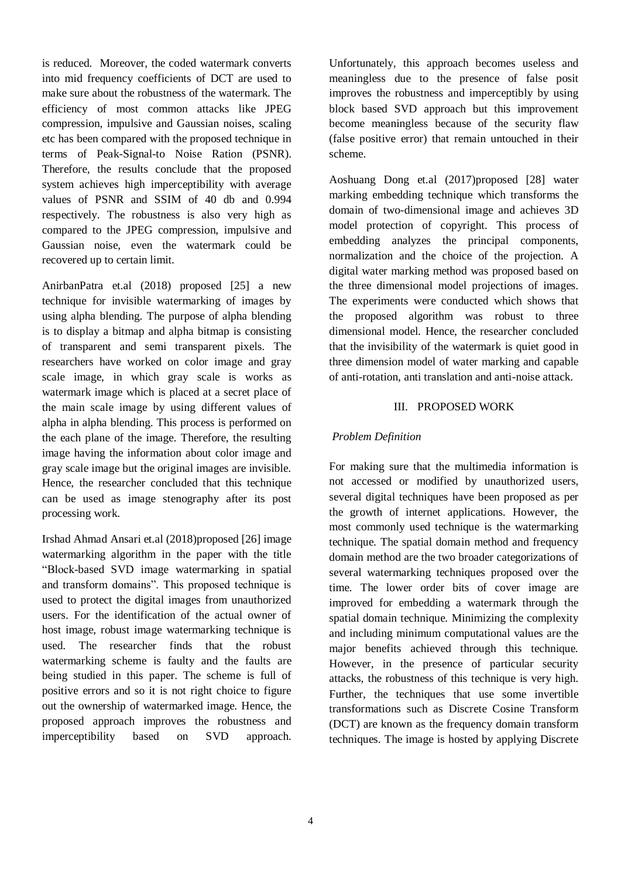is reduced. Moreover, the coded watermark converts into mid frequency coefficients of DCT are used to make sure about the robustness of the watermark. The efficiency of most common attacks like JPEG compression, impulsive and Gaussian noises, scaling etc has been compared with the proposed technique in terms of Peak-Signal-to Noise Ration (PSNR). Therefore, the results conclude that the proposed system achieves high imperceptibility with average values of PSNR and SSIM of 40 db and 0.994 respectively. The robustness is also very high as compared to the JPEG compression, impulsive and Gaussian noise, even the watermark could be recovered up to certain limit.

AnirbanPatra et.al (2018) proposed [25] a new technique for invisible watermarking of images by using alpha blending. The purpose of alpha blending is to display a bitmap and alpha bitmap is consisting of transparent and semi transparent pixels. The researchers have worked on color image and gray scale image, in which gray scale is works as watermark image which is placed at a secret place of the main scale image by using different values of alpha in alpha blending. This process is performed on the each plane of the image. Therefore, the resulting image having the information about color image and gray scale image but the original images are invisible. Hence, the researcher concluded that this technique can be used as image stenography after its post processing work.

Irshad Ahmad Ansari et.al (2018)proposed [26] image watermarking algorithm in the paper with the title "Block-based SVD image watermarking in spatial and transform domains". This proposed technique is used to protect the digital images from unauthorized users. For the identification of the actual owner of host image, robust image watermarking technique is used. The researcher finds that the robust watermarking scheme is faulty and the faults are being studied in this paper. The scheme is full of positive errors and so it is not right choice to figure out the ownership of watermarked image. Hence, the proposed approach improves the robustness and imperceptibility based on SVD approach.

Unfortunately, this approach becomes useless and meaningless due to the presence of false posit improves the robustness and imperceptibly by using block based SVD approach but this improvement become meaningless because of the security flaw (false positive error) that remain untouched in their scheme.

Aoshuang Dong et.al (2017)proposed [28] water marking embedding technique which transforms the domain of two-dimensional image and achieves 3D model protection of copyright. This process of embedding analyzes the principal components, normalization and the choice of the projection. A digital water marking method was proposed based on the three dimensional model projections of images. The experiments were conducted which shows that the proposed algorithm was robust to three dimensional model. Hence, the researcher concluded that the invisibility of the watermark is quiet good in three dimension model of water marking and capable of anti-rotation, anti translation and anti-noise attack.

## III. PROPOSED WORK

# *Problem Definition*

For making sure that the multimedia information is not accessed or modified by unauthorized users, several digital techniques have been proposed as per the growth of internet applications. However, the most commonly used technique is the watermarking technique. The spatial domain method and frequency domain method are the two broader categorizations of several watermarking techniques proposed over the time. The lower order bits of cover image are improved for embedding a watermark through the spatial domain technique. Minimizing the complexity and including minimum computational values are the major benefits achieved through this technique. However, in the presence of particular security attacks, the robustness of this technique is very high. Further, the techniques that use some invertible transformations such as Discrete Cosine Transform (DCT) are known as the frequency domain transform techniques. The image is hosted by applying Discrete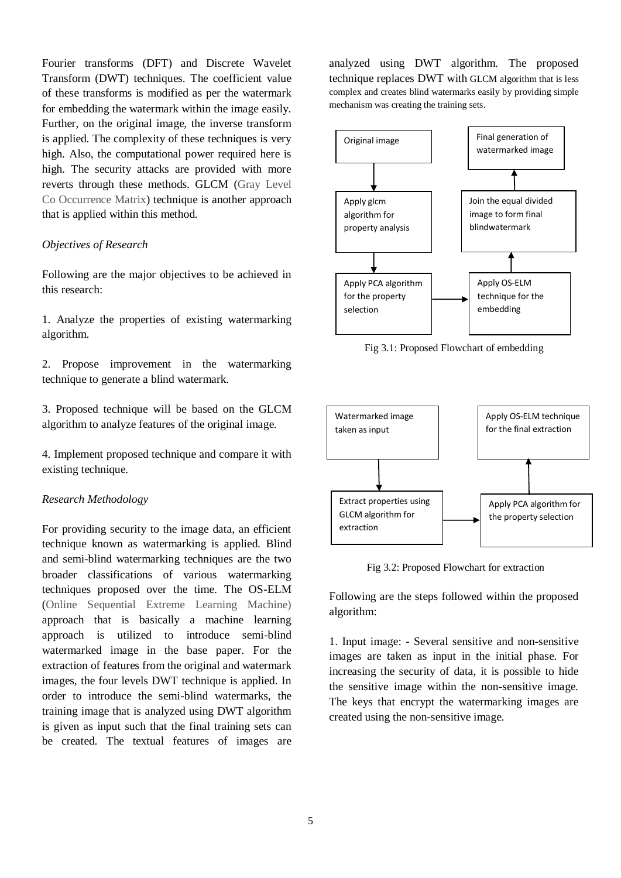Fourier transforms (DFT) and Discrete Wavelet Transform (DWT) techniques. The coefficient value of these transforms is modified as per the watermark for embedding the watermark within the image easily. Further, on the original image, the inverse transform is applied. The complexity of these techniques is very high. Also, the computational power required here is high. The security attacks are provided with more reverts through these methods. GLCM (Gray Level Co Occurrence Matrix) technique is another approach that is applied within this method.

#### *Objectives of Research*

Following are the major objectives to be achieved in this research:

1. Analyze the properties of existing watermarking algorithm.

2. Propose improvement in the watermarking technique to generate a blind watermark.

3. Proposed technique will be based on the GLCM algorithm to analyze features of the original image.

4. Implement proposed technique and compare it with existing technique.

#### *Research Methodology*

For providing security to the image data, an efficient technique known as watermarking is applied. Blind and semi-blind watermarking techniques are the two broader classifications of various watermarking techniques proposed over the time. The OS-ELM (Online Sequential Extreme Learning Machine) approach that is basically a machine learning approach is utilized to introduce semi-blind watermarked image in the base paper. For the extraction of features from the original and watermark images, the four levels DWT technique is applied. In order to introduce the semi-blind watermarks, the training image that is analyzed using DWT algorithm is given as input such that the final training sets can be created. The textual features of images are

analyzed using DWT algorithm. The proposed technique replaces DWT with GLCM algorithm that is less complex and creates blind watermarks easily by providing simple mechanism was creating the training sets.



Fig 3.1: Proposed Flowchart of embedding



Fig 3.2: Proposed Flowchart for extraction

Following are the steps followed within the proposed algorithm:

1. Input image: - Several sensitive and non-sensitive images are taken as input in the initial phase. For increasing the security of data, it is possible to hide the sensitive image within the non-sensitive image. The keys that encrypt the watermarking images are created using the non-sensitive image.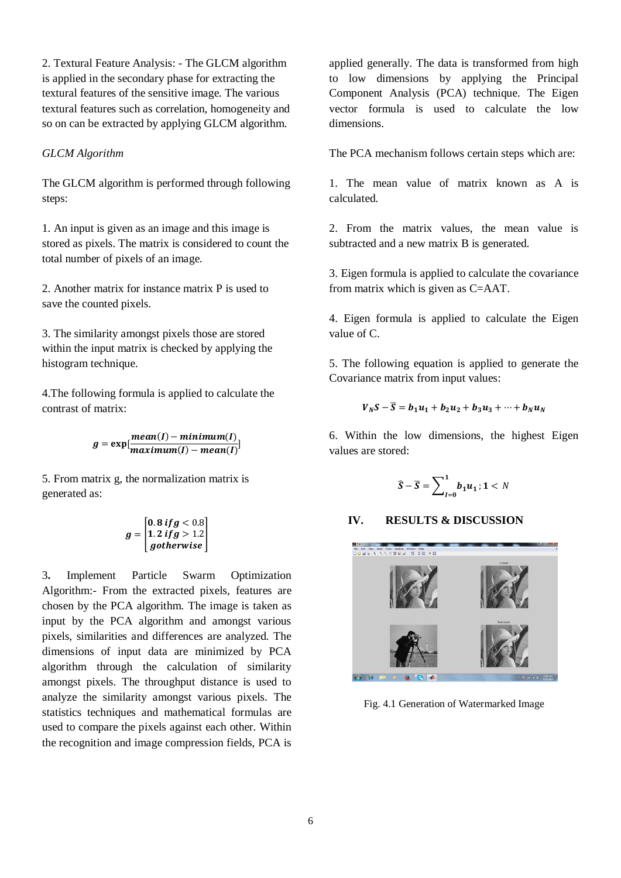2. Textural Feature Analysis: - The GLCM algorithm is applied in the secondary phase for extracting the textural features of the sensitive image. The various textural features such as correlation, homogeneity and so on can be extracted by applying GLCM algorithm.

## *GLCM Algorithm*

The GLCM algorithm is performed through following steps:

1. An input is given as an image and this image is stored as pixels. The matrix is considered to count the total number of pixels of an image.

2. Another matrix for instance matrix P is used to save the counted pixels.

3. The similarity amongst pixels those are stored within the input matrix is checked by applying the histogram technique.

4.The following formula is applied to calculate the contrast of matrix:

$$
g = \exp[\frac{mean(I) - minimum(I)}{maximum(I) - mean(I)}]
$$

5. From matrix g, the normalization matrix is generated as:

$$
g = \begin{bmatrix} 0.8 \text{ if } g < 0.8 \\ 1.2 \text{ if } g > 1.2 \\ go the rwise \end{bmatrix}
$$

3**.** Implement Particle Swarm Optimization Algorithm:- From the extracted pixels, features are chosen by the PCA algorithm. The image is taken as input by the PCA algorithm and amongst various pixels, similarities and differences are analyzed. The dimensions of input data are minimized by PCA algorithm through the calculation of similarity amongst pixels. The throughput distance is used to analyze the similarity amongst various pixels. The statistics techniques and mathematical formulas are used to compare the pixels against each other. Within the recognition and image compression fields, PCA is

applied generally. The data is transformed from high to low dimensions by applying the Principal Component Analysis (PCA) technique. The Eigen vector formula is used to calculate the low dimensions.

The PCA mechanism follows certain steps which are:

1. The mean value of matrix known as A is calculated.

2. From the matrix values, the mean value is subtracted and a new matrix B is generated.

3. Eigen formula is applied to calculate the covariance from matrix which is given as C=AAT.

4. Eigen formula is applied to calculate the Eigen value of C.

5. The following equation is applied to generate the Covariance matrix from input values:

$$
V_N S - \overline{S} = b_1 u_1 + b_2 u_2 + b_3 u_3 + \cdots + b_N u_N
$$

6. Within the low dimensions, the highest Eigen values are stored:

$$
\widehat{S}-\overline{S}=\sum_{I=0}^1 b_1 u_1; 1 < N
$$

# **IV. RESULTS & DISCUSSION**



Fig. 4.1 Generation of Watermarked Image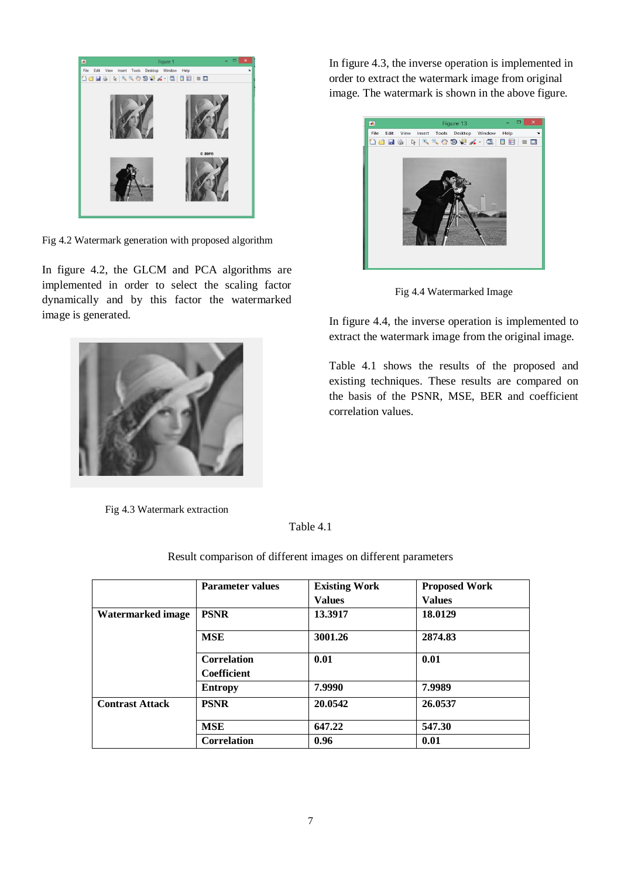

Fig 4.2 Watermark generation with proposed algorithm

In figure 4.2, the GLCM and PCA algorithms are implemented in order to select the scaling factor dynamically and by this factor the watermarked image is generated.



Fig 4.3 Watermark extraction

In figure 4.3, the inverse operation is implemented in order to extract the watermark image from original image. The watermark is shown in the above figure.



Fig 4.4 Watermarked Image

In figure 4.4, the inverse operation is implemented to extract the watermark image from the original image.

Table 4.1 shows the results of the proposed and existing techniques. These results are compared on the basis of the PSNR, MSE, BER and coefficient correlation values.

Table 4.1

**Parameter values Existing Work Values Proposed Work Values Watermarked image PSNR 13.3917 18.0129 MSE 3001.26 2874.83 Correlation Coefficient 0.01 0.01 Entropy 7.9990 7.9989 Contrast Attack PSNR 20.0542 26.0537 MSE 647.22 547.30 Correlation 0.96 0.01**

Result comparison of different images on different parameters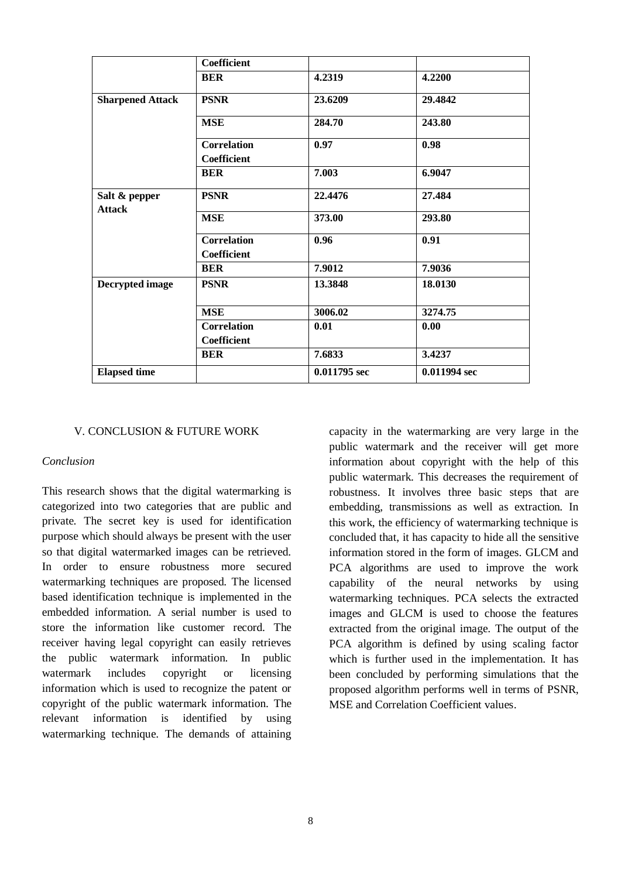|                                | <b>Coefficient</b>                       |              |              |
|--------------------------------|------------------------------------------|--------------|--------------|
|                                | <b>BER</b>                               | 4.2319       | 4.2200       |
| <b>Sharpened Attack</b>        | <b>PSNR</b>                              | 23.6209      | 29.4842      |
|                                | <b>MSE</b>                               | 284.70       | 243.80       |
|                                | <b>Correlation</b><br><b>Coefficient</b> | 0.97         | 0.98         |
|                                | <b>BER</b>                               | 7.003        | 6.9047       |
| Salt & pepper<br><b>Attack</b> | <b>PSNR</b>                              | 22,4476      | 27.484       |
|                                | <b>MSE</b>                               | 373.00       | 293.80       |
|                                | <b>Correlation</b><br><b>Coefficient</b> | 0.96         | 0.91         |
|                                | <b>BER</b>                               | 7.9012       | 7.9036       |
| <b>Decrypted</b> image         | <b>PSNR</b>                              | 13.3848      | 18.0130      |
|                                | <b>MSE</b>                               | 3006.02      | 3274.75      |
|                                | <b>Correlation</b><br>Coefficient        | 0.01         | 0.00         |
|                                | <b>BER</b>                               | 7.6833       | 3.4237       |
| <b>Elapsed</b> time            |                                          | 0.011795 sec | 0.011994 sec |

#### V. CONCLUSION & FUTURE WORK

#### *Conclusion*

This research shows that the digital watermarking is categorized into two categories that are public and private. The secret key is used for identification purpose which should always be present with the user so that digital watermarked images can be retrieved. In order to ensure robustness more secured watermarking techniques are proposed. The licensed based identification technique is implemented in the embedded information. A serial number is used to store the information like customer record. The receiver having legal copyright can easily retrieves the public watermark information. In public watermark includes copyright or licensing information which is used to recognize the patent or copyright of the public watermark information. The relevant information is identified by using watermarking technique. The demands of attaining capacity in the watermarking are very large in the public watermark and the receiver will get more information about copyright with the help of this public watermark. This decreases the requirement of robustness. It involves three basic steps that are embedding, transmissions as well as extraction. In this work, the efficiency of watermarking technique is concluded that, it has capacity to hide all the sensitive information stored in the form of images. GLCM and PCA algorithms are used to improve the work capability of the neural networks by using watermarking techniques. PCA selects the extracted images and GLCM is used to choose the features extracted from the original image. The output of the PCA algorithm is defined by using scaling factor which is further used in the implementation. It has been concluded by performing simulations that the proposed algorithm performs well in terms of PSNR, MSE and Correlation Coefficient values.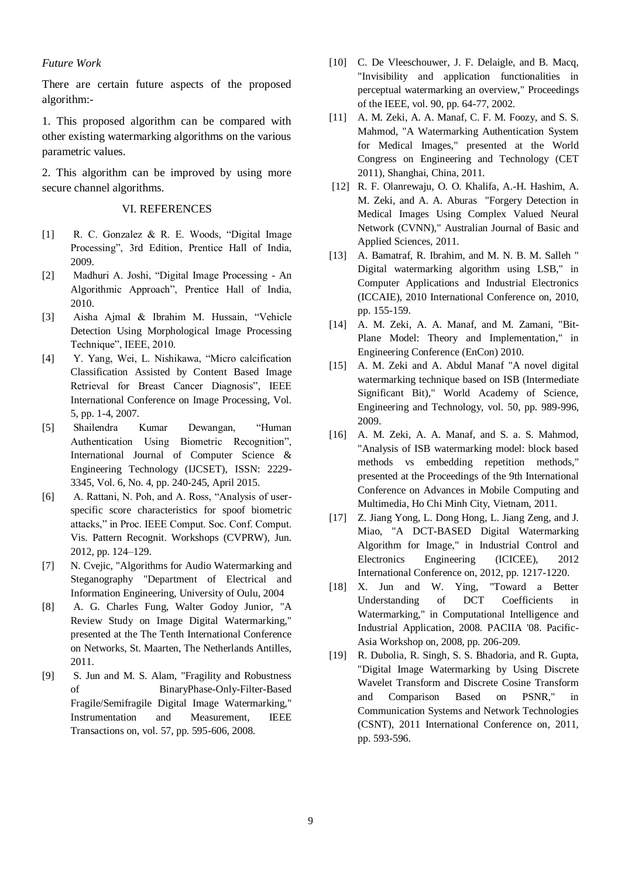#### *Future Work*

There are certain future aspects of the proposed algorithm:-

1. This proposed algorithm can be compared with other existing watermarking algorithms on the various parametric values.

2. This algorithm can be improved by using more secure channel algorithms.

#### VI. REFERENCES

- [1] R. C. Gonzalez & R. E. Woods, "Digital Image Processing", 3rd Edition, Prentice Hall of India, 2009.
- [2] Madhuri A. Joshi, "Digital Image Processing An Algorithmic Approach", Prentice Hall of India, 2010.
- [3] Aisha Ajmal & Ibrahim M. Hussain, "Vehicle Detection Using Morphological Image Processing Technique", IEEE, 2010.
- [4] Y. Yang, Wei, L. Nishikawa, "Micro calcification Classification Assisted by Content Based Image Retrieval for Breast Cancer Diagnosis", IEEE International Conference on Image Processing, Vol. 5, pp. 1-4, 2007.
- [5] Shailendra Kumar Dewangan, "Human Authentication Using Biometric Recognition", International Journal of Computer Science & Engineering Technology (IJCSET), ISSN: 2229- 3345, Vol. 6, No. 4, pp. 240-245, April 2015.
- [6] A. Rattani, N. Poh, and A. Ross, "Analysis of userspecific score characteristics for spoof biometric attacks," in Proc. IEEE Comput. Soc. Conf. Comput. Vis. Pattern Recognit. Workshops (CVPRW), Jun. 2012, pp. 124–129.
- [7] N. Cvejic, "Algorithms for Audio Watermarking and Steganography "Department of Electrical and Information Engineering, University of Oulu, 2004
- [8] A. G. Charles Fung, Walter Godoy Junior, "A Review Study on Image Digital Watermarking," presented at the The Tenth International Conference on Networks, St. Maarten, The Netherlands Antilles, 2011.
- [9] S. Jun and M. S. Alam, "Fragility and Robustness of BinaryPhase-Only-Filter-Based Fragile/Semifragile Digital Image Watermarking," Instrumentation and Measurement, IEEE Transactions on, vol. 57, pp. 595-606, 2008.
- [10] C. De Vleeschouwer, J. F. Delaigle, and B. Macq, "Invisibility and application functionalities in perceptual watermarking an overview," Proceedings of the IEEE, vol. 90, pp. 64-77, 2002.
- [11] A. M. Zeki, A. A. Manaf, C. F. M. Foozy, and S. S. Mahmod, "A Watermarking Authentication System for Medical Images," presented at the World Congress on Engineering and Technology (CET 2011), Shanghai, China, 2011.
- [12] R. F. Olanrewaju, O. O. Khalifa, A.-H. Hashim, A. M. Zeki, and A. A. Aburas "Forgery Detection in Medical Images Using Complex Valued Neural Network (CVNN)," Australian Journal of Basic and Applied Sciences, 2011.
- [13] A. Bamatraf, R. Ibrahim, and M. N. B. M. Salleh " Digital watermarking algorithm using LSB," in Computer Applications and Industrial Electronics (ICCAIE), 2010 International Conference on, 2010, pp. 155-159.
- [14] A. M. Zeki, A. A. Manaf, and M. Zamani, "Bit-Plane Model: Theory and Implementation," in Engineering Conference (EnCon) 2010.
- [15] A. M. Zeki and A. Abdul Manaf "A novel digital watermarking technique based on ISB (Intermediate Significant Bit)," World Academy of Science, Engineering and Technology, vol. 50, pp. 989-996, 2009.
- [16] A. M. Zeki, A. A. Manaf, and S. a. S. Mahmod, "Analysis of ISB watermarking model: block based methods vs embedding repetition methods," presented at the Proceedings of the 9th International Conference on Advances in Mobile Computing and Multimedia, Ho Chi Minh City, Vietnam, 2011.
- [17] Z. Jiang Yong, L. Dong Hong, L. Jiang Zeng, and J. Miao, "A DCT-BASED Digital Watermarking Algorithm for Image," in Industrial Control and Electronics Engineering (ICICEE), 2012 International Conference on, 2012, pp. 1217-1220.
- [18] X. Jun and W. Ying, "Toward a Better Understanding of DCT Coefficients in Watermarking," in Computational Intelligence and Industrial Application, 2008. PACIIA '08. Pacific-Asia Workshop on, 2008, pp. 206-209.
- [19] R. Dubolia, R. Singh, S. S. Bhadoria, and R. Gupta, "Digital Image Watermarking by Using Discrete Wavelet Transform and Discrete Cosine Transform and Comparison Based on PSNR," in Communication Systems and Network Technologies (CSNT), 2011 International Conference on, 2011, pp. 593-596.